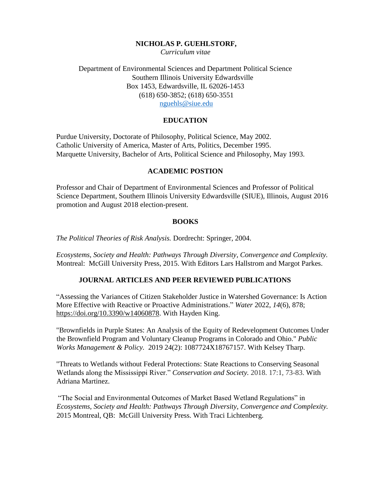#### **NICHOLAS P. GUEHLSTORF,**

*Curriculum vitae*

Department of Environmental Sciences and Department Political Science Southern Illinois University Edwardsville Box 1453, Edwardsville, IL 62026-1453 (618) 650-3852; (618) 650-3551 [nguehls@siue.edu](mailto:nguehls@siue.edu)

#### **EDUCATION**

Purdue University, Doctorate of Philosophy, Political Science, May 2002. Catholic University of America, Master of Arts, Politics, December 1995. Marquette University, Bachelor of Arts, Political Science and Philosophy, May 1993.

#### **ACADEMIC POSTION**

Professor and Chair of Department of Environmental Sciences and Professor of Political Science Department, Southern Illinois University Edwardsville (SIUE), Illinois, August 2016 promotion and August 2018 election-present.

#### **BOOKS**

*The Political Theories of Risk Analysis.* Dordrecht: Springer, 2004.

*Ecosystems, Society and Health: Pathways Through Diversity, Convergence and Complexity.* Montreal: McGill University Press, 2015. With Editors Lars Hallstrom and Margot Parkes.

#### **JOURNAL ARTICLES AND PEER REVIEWED PUBLICATIONS**

"Assessing the Variances of Citizen Stakeholder Justice in Watershed Governance: Is Action More Effective with Reactive or Proactive Administrations." *Water* 2022, *14*(6), 878; [https://doi.org/10.3390/w14060878.](https://doi.org/10.3390/w14060878) With Hayden King.

"Brownfields in Purple States: An Analysis of the Equity of Redevelopment Outcomes Under the Brownfield Program and Voluntary Cleanup Programs in Colorado and Ohio." *Public Works Management & Policy.* 2019 24(2): 1087724X18767157. With Kelsey Tharp.

"Threats to Wetlands without Federal Protections: State Reactions to Conserving Seasonal Wetlands along the Mississippi River." *Conservation and Society.* 2018. 17:1, 73-83. With Adriana Martinez.

"The Social and Environmental Outcomes of Market Based Wetland Regulations" in *Ecosystems, Society and Health: Pathways Through Diversity, Convergence and Complexity.*  2015 Montreal, QB: McGill University Press. With Traci Lichtenberg.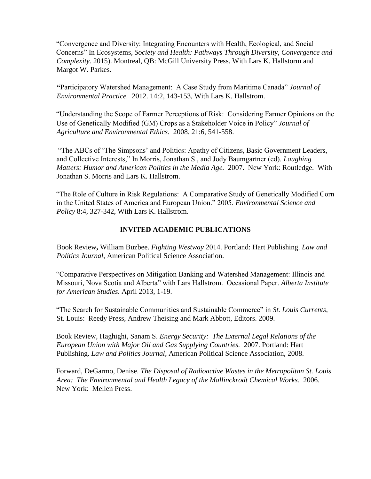"Convergence and Diversity: Integrating Encounters with Health, Ecological, and Social Concerns" In Ecosystems*, Society and Health: Pathways Through Diversity, Convergence and Complexity.* 2015). Montreal, QB: McGill University Press. With Lars K. Hallstorm and Margot W. Parkes.

**"**Participatory Watershed Management: A Case Study from Maritime Canada" *Journal of Environmental Practice.* 2012. 14:2, 143-153, With Lars K. Hallstrom.

"Understanding the Scope of Farmer Perceptions of Risk: Considering Farmer Opinions on the Use of Genetically Modified (GM) Crops as a Stakeholder Voice in Policy" *Journal of Agriculture and Environmental Ethics.* 2008. 21:6, 541-558.

"The ABCs of 'The Simpsons' and Politics: Apathy of Citizens, Basic Government Leaders, and Collective Interests," In Morris, Jonathan S., and Jody Baumgartner (ed). *Laughing Matters: Humor and American Politics in the Media Age.* 2007. New York: Routledge. With Jonathan S. Morris and Lars K. Hallstrom.

"The Role of Culture in Risk Regulations: A Comparative Study of Genetically Modified Corn in the United States of America and European Union." 2005. *Environmental Science and Policy* 8:4, 327-342, With Lars K. Hallstrom.

## **INVITED ACADEMIC PUBLICATIONS**

Book Review**,** William Buzbee. *Fighting Westway* 2014. Portland: Hart Publishing. *Law and Politics Journal*, American Political Science Association.

"Comparative Perspectives on Mitigation Banking and Watershed Management: Illinois and Missouri, Nova Scotia and Alberta" with Lars Hallstrom. Occasional Paper. *Alberta Institute for American Studies*. April 2013, 1-19.

"The Search for Sustainable Communities and Sustainable Commerce" in *St. Louis Currents*, St. Louis: Reedy Press, Andrew Theising and Mark Abbott, Editors. 2009.

Book Review, Haghighi, Sanam S. *Energy Security: The External Legal Relations of the European Union with Major Oil and Gas Supplying Countries.* 2007. Portland: Hart Publishing. *Law and Politics Journal*, American Political Science Association, 2008.

Forward, DeGarmo, Denise. *The Disposal of Radioactive Wastes in the Metropolitan St. Louis Area: The Environmental and Health Legacy of the Mallinckrodt Chemical Works.* 2006. New York: Mellen Press.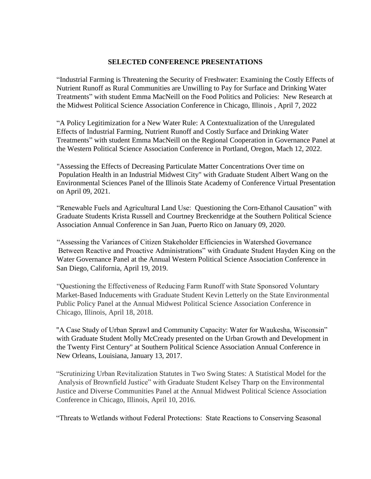#### **SELECTED CONFERENCE PRESENTATIONS**

"Industrial Farming is Threatening the Security of Freshwater: Examining the Costly Effects of Nutrient Runoff as Rural Communities are Unwilling to Pay for Surface and Drinking Water Treatments" with student Emma MacNeill on the Food Politics and Policies: New Research at the Midwest Political Science Association Conference in Chicago, Illinois , April 7, 2022

"A Policy Legitimization for a New Water Rule: A Contextualization of the Unregulated Effects of Industrial Farming, Nutrient Runoff and Costly Surface and Drinking Water Treatments" with student Emma MacNeill on the Regional Cooperation in Governance Panel at the Western Political Science Association Conference in Portland, Oregon, Mach 12, 2022.

"Assessing the Effects of Decreasing Particulate Matter Concentrations Over time on Population Health in an Industrial Midwest City" with Graduate Student Albert Wang on the Environmental Sciences Panel of the Illinois State Academy of Conference Virtual Presentation on April 09, 2021.

"Renewable Fuels and Agricultural Land Use: Questioning the Corn-Ethanol Causation" with Graduate Students Krista Russell and Courtney Breckenridge at the Southern Political Science Association Annual Conference in San Juan, Puerto Rico on January 09, 2020.

"Assessing the Variances of Citizen Stakeholder Efficiencies in Watershed Governance Between Reactive and Proactive Administrations" with Graduate Student Hayden King on the Water Governance Panel at the Annual Western Political Science Association Conference in San Diego, California, April 19, 2019.

"Questioning the Effectiveness of Reducing Farm Runoff with State Sponsored Voluntary Market-Based Inducements with Graduate Student Kevin Letterly on the State Environmental Public Policy Panel at the Annual Midwest Political Science Association Conference in Chicago, Illinois, April 18, 2018.

"A Case Study of Urban Sprawl and Community Capacity: Water for Waukesha, Wisconsin" with Graduate Student Molly McCready presented on the Urban Growth and Development in the Twenty First Century" at Southern Political Science Association Annual Conference in New Orleans, Louisiana, January 13, 2017.

"Scrutinizing Urban Revitalization Statutes in Two Swing States: A Statistical Model for the Analysis of Brownfield Justice" with Graduate Student Kelsey Tharp on the Environmental Justice and Diverse Communities Panel at the Annual Midwest Political Science Association Conference in Chicago, Illinois, April 10, 2016.

"Threats to Wetlands without Federal Protections: State Reactions to Conserving Seasonal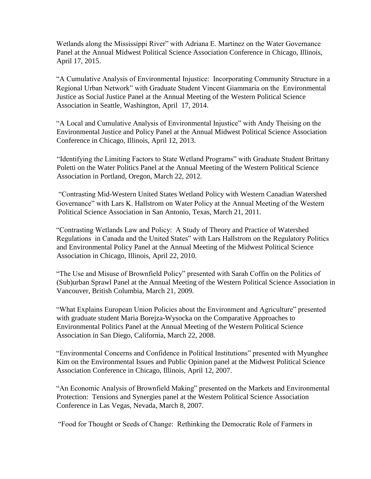Wetlands along the Mississippi River" with Adriana E. Martinez on the Water Governance Panel at the Annual Midwest Political Science Association Conference in Chicago, Illinois, April 17, 2015.

"A Cumulative Analysis of Environmental Injustice: Incorporating Community Structure in a Regional Urban Network" with Graduate Student Vincent Giammaria on the Environmental Justice as Social Justice Panel at the Annual Meeting of the Western Political Science Association in Seattle, Washington, April 17, 2014.

"A Local and Cumulative Analysis of Environmental Injustice" with Andy Theising on the Environmental Justice and Policy Panel at the Annual Midwest Political Science Association Conference in Chicago, Illinois, April 12, 2013.

 "Identifying the Limiting Factors to State Wetland Programs" with Graduate Student Brittany Poletti on the Water Politics Panel at the Annual Meeting of the Western Political Science Association in Portland, Oregon, March 22, 2012.

"Contrasting Mid-Western United States Wetland Policy with Western Canadian Watershed Governance" with Lars K. Hallstrom on Water Policy at the Annual Meeting of the Western Political Science Association in San Antonio, Texas, March 21, 2011.

"Contrasting Wetlands Law and Policy: A Study of Theory and Practice of Watershed Regulations in Canada and the United States" with Lars Hallstrom on the Regulatory Politics and Environmental Policy Panel at the Annual Meeting of the Midwest Political Science Association in Chicago, Illinois, April 22, 2010.

"The Use and Misuse of Brownfield Policy" presented with Sarah Coffin on the Politics of (Sub)urban Sprawl Panel at the Annual Meeting of the Western Political Science Association in Vancouver, British Columbia, March 21, 2009.

"What Explains European Union Policies about the Environment and Agriculture" presented with graduate student Maria Borejza-Wysocka on the Comparative Approaches to Environmental Politics Panel at the Annual Meeting of the Western Political Science Association in San Diego, California, March 22, 2008.

"Environmental Concerns and Confidence in Political Institutions" presented with Myunghee Kim on the Environmental Issues and Public Opinion panel at the Midwest Political Science Association Conference in Chicago, Illinois, April 12, 2007.

"An Economic Analysis of Brownfield Making" presented on the Markets and Environmental Protection: Tensions and Synergies panel at the Western Political Science Association Conference in Las Vegas, Nevada, March 8, 2007.

"Food for Thought or Seeds of Change: Rethinking the Democratic Role of Farmers in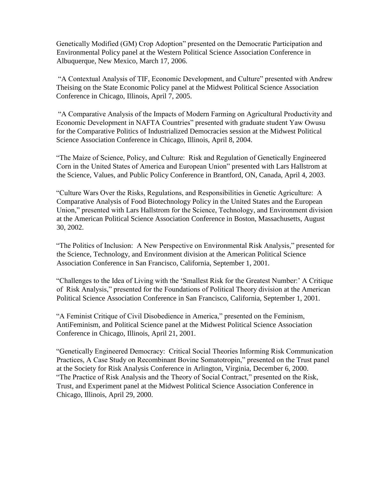Genetically Modified (GM) Crop Adoption" presented on the Democratic Participation and Environmental Policy panel at the Western Political Science Association Conference in Albuquerque, New Mexico, March 17, 2006.

"A Contextual Analysis of TIF, Economic Development, and Culture" presented with Andrew Theising on the State Economic Policy panel at the Midwest Political Science Association Conference in Chicago, Illinois, April 7, 2005.

"A Comparative Analysis of the Impacts of Modern Farming on Agricultural Productivity and Economic Development in NAFTA Countries" presented with graduate student Yaw Owusu for the Comparative Politics of Industrialized Democracies session at the Midwest Political Science Association Conference in Chicago, Illinois, April 8, 2004.

"The Maize of Science, Policy, and Culture: Risk and Regulation of Genetically Engineered Corn in the United States of America and European Union" presented with Lars Hallstrom at the Science, Values, and Public Policy Conference in Brantford, ON, Canada, April 4, 2003.

"Culture Wars Over the Risks, Regulations, and Responsibilities in Genetic Agriculture: A Comparative Analysis of Food Biotechnology Policy in the United States and the European Union," presented with Lars Hallstrom for the Science, Technology, and Environment division at the American Political Science Association Conference in Boston, Massachusetts, August 30, 2002.

"The Politics of Inclusion: A New Perspective on Environmental Risk Analysis," presented for the Science, Technology, and Environment division at the American Political Science Association Conference in San Francisco, California, September 1, 2001.

"Challenges to the Idea of Living with the 'Smallest Risk for the Greatest Number:' A Critique of Risk Analysis," presented for the Foundations of Political Theory division at the American Political Science Association Conference in San Francisco, California, September 1, 2001.

"A Feminist Critique of Civil Disobedience in America," presented on the Feminism, AntiFeminism, and Political Science panel at the Midwest Political Science Association Conference in Chicago, Illinois, April 21, 2001.

"Genetically Engineered Democracy: Critical Social Theories Informing Risk Communication Practices, A Case Study on Recombinant Bovine Somatotropin," presented on the Trust panel at the Society for Risk Analysis Conference in Arlington, Virginia, December 6, 2000. "The Practice of Risk Analysis and the Theory of Social Contract," presented on the Risk, Trust, and Experiment panel at the Midwest Political Science Association Conference in Chicago, Illinois, April 29, 2000.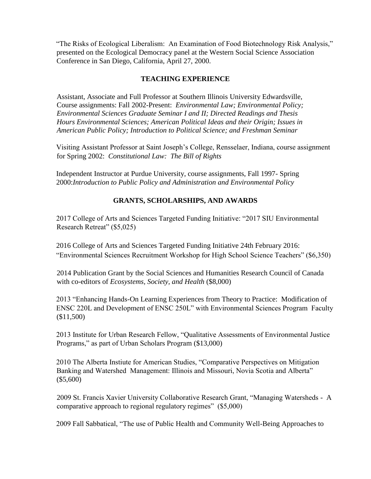"The Risks of Ecological Liberalism: An Examination of Food Biotechnology Risk Analysis," presented on the Ecological Democracy panel at the Western Social Science Association Conference in San Diego, California, April 27, 2000.

## **TEACHING EXPERIENCE**

Assistant, Associate and Full Professor at Southern Illinois University Edwardsville, Course assignments: Fall 2002-Present: *Environmental Law; Environmental Policy; Environmental Sciences Graduate Seminar I and II; Directed Readings and Thesis Hours Environmental Sciences; American Political Ideas and their Origin; Issues in American Public Policy; Introduction to Political Science; and Freshman Seminar*

Visiting Assistant Professor at Saint Joseph's College, Rensselaer, Indiana, course assignment for Spring 2002: *Constitutional Law: The Bill of Rights*

Independent Instructor at Purdue University, course assignments, Fall 1997- Spring 2000:*Introduction to Public Policy and Administration and Environmental Policy*

# **GRANTS, SCHOLARSHIPS, AND AWARDS**

2017 College of Arts and Sciences Targeted Funding Initiative: "2017 SIU Environmental Research Retreat" (\$5,025)

2016 College of Arts and Sciences Targeted Funding Initiative 24th February 2016: "Environmental Sciences Recruitment Workshop for High School Science Teachers" (\$6,350)

2014 Publication Grant by the Social Sciences and Humanities Research Council of Canada with co-editors of *Ecosystems, Society, and Health* (\$8,000)

2013 "Enhancing Hands-On Learning Experiences from Theory to Practice: Modification of ENSC 220L and Development of ENSC 250L" with Environmental Sciences Program Faculty (\$11,500)

2013 Institute for Urban Research Fellow, "Qualitative Assessments of Environmental Justice Programs," as part of Urban Scholars Program (\$13,000)

2010 The Alberta Instiute for American Studies, "Comparative Perspectives on Mitigation Banking and Watershed Management: Illinois and Missouri, Novia Scotia and Alberta" (\$5,600)

2009 St. Francis Xavier University Collaborative Research Grant, "Managing Watersheds - A comparative approach to regional regulatory regimes" (\$5,000)

2009 Fall Sabbatical, "The use of Public Health and Community Well-Being Approaches to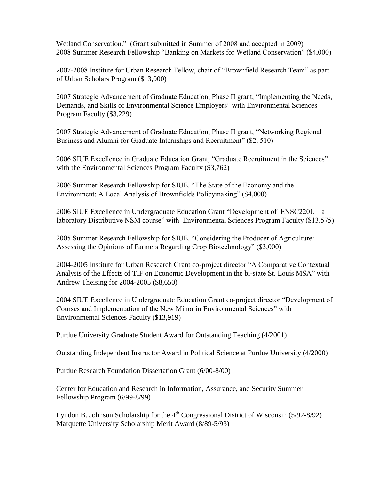Wetland Conservation." (Grant submitted in Summer of 2008 and accepted in 2009) 2008 Summer Research Fellowship "Banking on Markets for Wetland Conservation" (\$4,000)

2007-2008 Institute for Urban Research Fellow, chair of "Brownfield Research Team" as part of Urban Scholars Program (\$13,000)

2007 Strategic Advancement of Graduate Education, Phase II grant, "Implementing the Needs, Demands, and Skills of Environmental Science Employers" with Environmental Sciences Program Faculty (\$3,229)

2007 Strategic Advancement of Graduate Education, Phase II grant, "Networking Regional Business and Alumni for Graduate Internships and Recruitment" (\$2, 510)

2006 SIUE Excellence in Graduate Education Grant, "Graduate Recruitment in the Sciences" with the Environmental Sciences Program Faculty (\$3,762)

2006 Summer Research Fellowship for SIUE. "The State of the Economy and the Environment: A Local Analysis of Brownfields Policymaking" (\$4,000)

2006 SIUE Excellence in Undergraduate Education Grant "Development of ENSC220L – a laboratory Distributive NSM course" with Environmental Sciences Program Faculty (\$13,575)

2005 Summer Research Fellowship for SIUE. "Considering the Producer of Agriculture: Assessing the Opinions of Farmers Regarding Crop Biotechnology" (\$3,000)

2004-2005 Institute for Urban Research Grant co-project director "A Comparative Contextual Analysis of the Effects of TIF on Economic Development in the bi-state St. Louis MSA" with Andrew Theising for 2004-2005 (\$8,650)

2004 SIUE Excellence in Undergraduate Education Grant co-project director "Development of Courses and Implementation of the New Minor in Environmental Sciences" with Environmental Sciences Faculty (\$13,919)

Purdue University Graduate Student Award for Outstanding Teaching (4/2001)

Outstanding Independent Instructor Award in Political Science at Purdue University (4/2000)

Purdue Research Foundation Dissertation Grant (6/00-8/00)

Center for Education and Research in Information, Assurance, and Security Summer Fellowship Program (6/99-8/99)

Lyndon B. Johnson Scholarship for the  $4<sup>th</sup>$  Congressional District of Wisconsin (5/92-8/92) Marquette University Scholarship Merit Award (8/89-5/93)